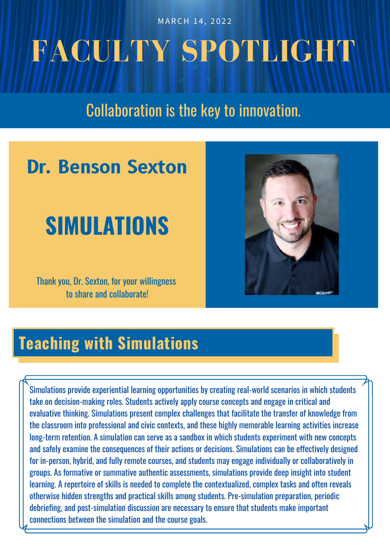MARCH 14, 2022

# **FACULTY SPOTLIGHT**

## Collaboration is the key to innovation.

## **Dr. Benson Sexton**

## **SIMULATIONS**

Thank you, Dr. Sexton, for your willingness to share and collaborate!



## **Teaching with Simulations**

Simulations provide experiential learning opportunities by creating real-world scenarios in which students take on decision-making roles. Students actively apply course concepts and engage in critical and evaluative thinking. Simulations present complex challenges that facilitate the transfer of knowledge from the classroom into professional and civic contexts, and these highly memorable learning activities increase long-term retention. A simulation can serve as a sandbox in which students experiment with new concepts and safely examine the consequences of their actions or decisions. Simulations can be effectively designed for in-person, hybrid, and fully remote courses, and students may engage individually or collaboratively in groups. As formative or summative authentic assessments, simulations provide deep insight into student learning. A repertoire of skills is needed to complete the contextualized, complex tasks and often reveals otherwise hidden strengths and practical skills among students. Pre-simulation preparation, periodic debriefing, and post-simulation discussion are necessary to ensure that students make important connections between the simulation and the course goals.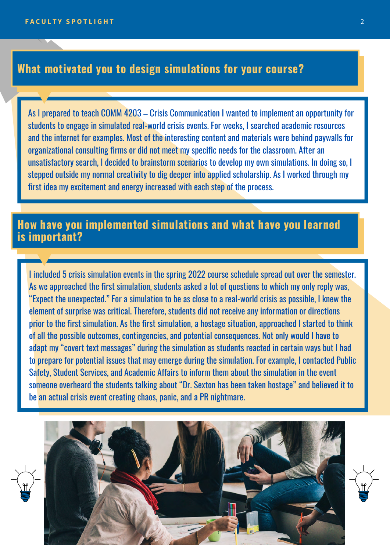#### **What motivated you to design simulations for your course?**

As I prepared to teach COMM 4203 – Crisis Communication I wanted to implement an opportunity for students to engage in simulated real-world crisis events. For weeks, I searched academic resources and the internet for examples. Most of the interesting content and materials were behind paywalls for organizational consulting firms or did not meet my specific needs for the classroom. After an unsatisfactory search, I decided to brainstorm scenarios to develop my own simulations. In doing so, I stepped outside my normal creativity to dig deeper into applied scholarship. As I worked through my first idea my excitement and energy increased with each step of the process.

#### **How have you implemented simulations and what have you learned is important?**

I included 5 crisis simulation events in the spring 2022 course schedule spread out over the semester. As we approached the first simulation, students asked a lot of questions to which my only reply was, "Expect the unexpected." For a simulation to be as close to a real-world crisis as possible, I knew the element of surprise was critical. Therefore, students did not receive any information or directions prior to the first simulation. As the first simulation, a hostage situation, approached I started to think of all the possible outcomes, contingencies, and potential consequences. Not only would I have to adapt my "covert text messages" during the simulation as students reacted in certain ways but I had to prepare for potential issues that may emerge during the simulation. For example, I contacted Public Safety, Student Services, and Academic Affairs to inform them about the simulation in the event someone overheard the students talking about "Dr. Sexton has been taken hostage" and believed it to be an actual crisis event creating chaos, panic, and a PR nightmare.